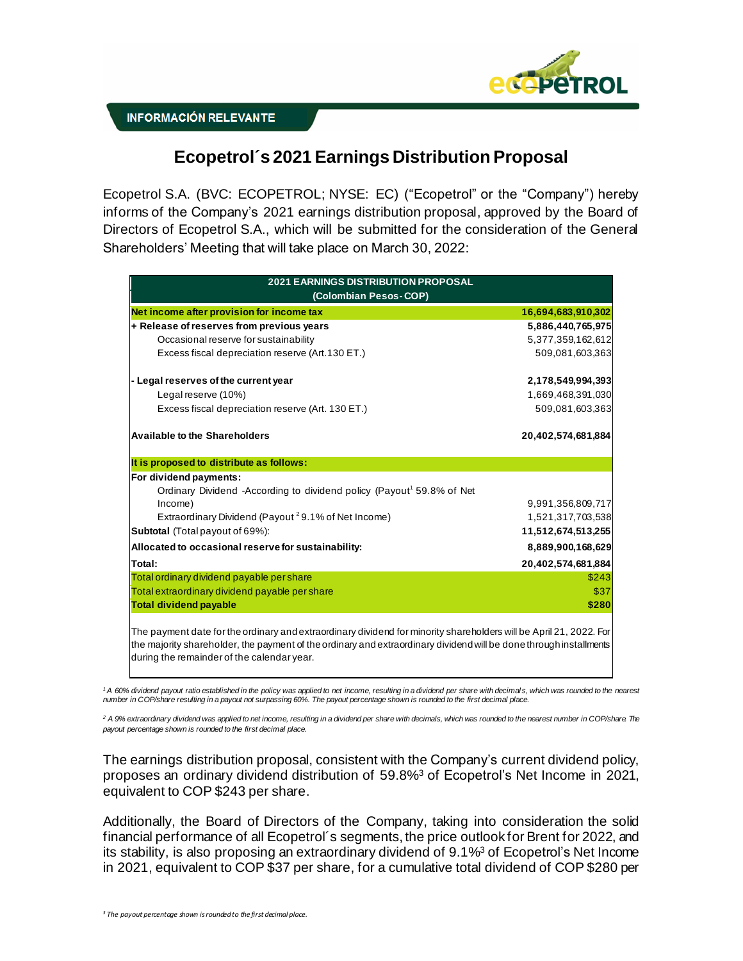

**INFORMACIÓN RELEVANTE** 

## **Ecopetrol´s 2021 Earnings Distribution Proposal**

Ecopetrol S.A. (BVC: ECOPETROL; NYSE: EC) ("Ecopetrol" or the "Company") hereby informs of the Company's 2021 earnings distribution proposal, approved by the Board of Directors of Ecopetrol S.A., which will be submitted for the consideration of the General Shareholders' Meeting that will take place on March 30, 2022:

| <b>2021 EARNINGS DISTRIBUTION PROPOSAL</b><br>(Colombian Pesos-COP)                                                                                                                                                                                                                    |                    |
|----------------------------------------------------------------------------------------------------------------------------------------------------------------------------------------------------------------------------------------------------------------------------------------|--------------------|
| Net income after provision for income tax                                                                                                                                                                                                                                              | 16,694,683,910,302 |
| + Release of reserves from previous years                                                                                                                                                                                                                                              | 5,886,440,765,975  |
| Occasional reserve for sustainability                                                                                                                                                                                                                                                  | 5,377,359,162,612  |
| Excess fiscal depreciation reserve (Art.130 ET.)                                                                                                                                                                                                                                       | 509,081,603,363    |
| - Legal reserves of the current year                                                                                                                                                                                                                                                   | 2,178,549,994,393  |
| Legal reserve (10%)                                                                                                                                                                                                                                                                    | 1,669,468,391,030  |
| Excess fiscal depreciation reserve (Art. 130 ET.)                                                                                                                                                                                                                                      | 509,081,603,363    |
| <b>Available to the Shareholders</b>                                                                                                                                                                                                                                                   | 20,402,574,681,884 |
| It is proposed to distribute as follows:                                                                                                                                                                                                                                               |                    |
| For dividend payments:                                                                                                                                                                                                                                                                 |                    |
| Ordinary Dividend -According to dividend policy (Payout <sup>1</sup> 59.8% of Net                                                                                                                                                                                                      |                    |
| Income)                                                                                                                                                                                                                                                                                | 9,991,356,809,717  |
| Extraordinary Dividend (Payout <sup>2</sup> 9.1% of Net Income)                                                                                                                                                                                                                        | 1,521,317,703,538  |
| Subtotal (Total payout of 69%):                                                                                                                                                                                                                                                        | 11,512,674,513,255 |
| Allocated to occasional reserve for sustainability:                                                                                                                                                                                                                                    | 8,889,900,168,629  |
| Total:                                                                                                                                                                                                                                                                                 | 20,402,574,681,884 |
| Total ordinary dividend payable per share                                                                                                                                                                                                                                              | \$243              |
| Total extraordinary dividend payable per share                                                                                                                                                                                                                                         | \$37               |
| <b>Total dividend payable</b>                                                                                                                                                                                                                                                          | \$280              |
| The payment date for the ordinary and extraordinary dividend for minority shareholders will be April 21, 2022. For<br>the majority shareholder, the payment of the ordinary and extraordinary dividend will be done through installments<br>during the remainder of the calendar year. |                    |

<sup>1</sup>A 60% dividend payout ratio established in the policy was applied to net income, resulting in a dividend per share with decimals, which was rounded to the nearest *number in COP/share resulting in a payout not surpassing 60%. The payout percentage shown is rounded to the first decimal place.*

<sup>2</sup> A 9% extraordinary dividend was applied to net income, resulting in a dividend per share with decimals, which was rounded to the nearest number in COP/share. The *payout percentage shown is rounded to the first decimal place.*

The earnings distribution proposal, consistent with the Company's current dividend policy, proposes an ordinary dividend distribution of 59.8%<sup>3</sup> of Ecopetrol's Net Income in 2021, equivalent to COP \$243 per share.

Additionally, the Board of Directors of the Company, taking into consideration the solid financial performance of all Ecopetrol´s segments, the price outlook for Brent for 2022, and its stability, is also proposing an extraordinary dividend of 9.1%<sup>3</sup> of Ecopetrol's Net Income in 2021, equivalent to COP \$37 per share, for a cumulative total dividend of COP \$280 per